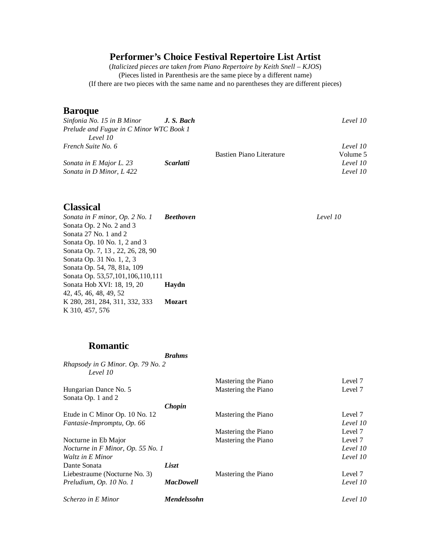## **Performer's Choice Festival Repertoire List Artist**

(*Italicized pieces are* t*aken from Piano Repertoire by Keith Snell – KJOS*) (Pieces listed in Parenthesis are the same piece by a different name) (If there are two pieces with the same name and no parentheses they are different pieces)

#### **Baroque**

| Sinfonia No. 15 in B Minor J. S. Bach   |                  |                          | Level 10 |
|-----------------------------------------|------------------|--------------------------|----------|
| Prelude and Fugue in C Minor WTC Book 1 |                  |                          |          |
| Level 10                                |                  |                          |          |
| French Suite No. 6                      |                  |                          | Level 10 |
|                                         |                  | Bastien Piano Literature | Volume 5 |
| Sonata in E Major L. 23                 | <i>Scarlatti</i> |                          | Level 10 |
| Sonata in D Minor, L 422                |                  |                          | Level 10 |

### **Classical**

*Sonata in F minor, Op. 2 No. 1 Beethoven Level 10* Sonata Op. 2 No. 2 and 3 Sonata 27 No. 1 and 2 Sonata Op. 10 No. 1, 2 and 3 Sonata Op. 7, 13 , 22, 26, 28, 90 Sonata Op. 31 No. 1, 2, 3 Sonata Op. 54, 78, 81a, 109 Sonata Op. 53,57,101,106,110,111 Sonata Hob XVI: 18, 19, 20 **Haydn** 42, 45, 46, 48, 49, 52 K 280, 281, 284, 311, 332, 333 **Mozart** K 310, 457, 576

## **Romantic**

*Brahms Rhapsody in G Minor. Op. 79 No. 2 Level 10* Mastering the Piano Level 7 Hungarian Dance No. 5 Mastering the Piano Level 7 Sonata Op. 1 and 2 *Chopin* Etude in C Minor Op. 10 No. 12 Mastering the Piano Level 7 *Fantasie-Impromptu, Op. 66 Level 10* Mastering the Piano Level 7 Nocturne in Eb Major **Mastering the Piano** Level 7 *Nocturne in F Minor, Op. 55 No. 1 Level 10 Waltz in E Minor Level 10* Dante Sonata *Liszt* Liebestraume (Nocturne No. 3) Mastering the Piano Level 7 *Preludium, Op. 10 No. 1 MacDowell Level 10 Scherzo in E Minor Mendelssohn Level 10*